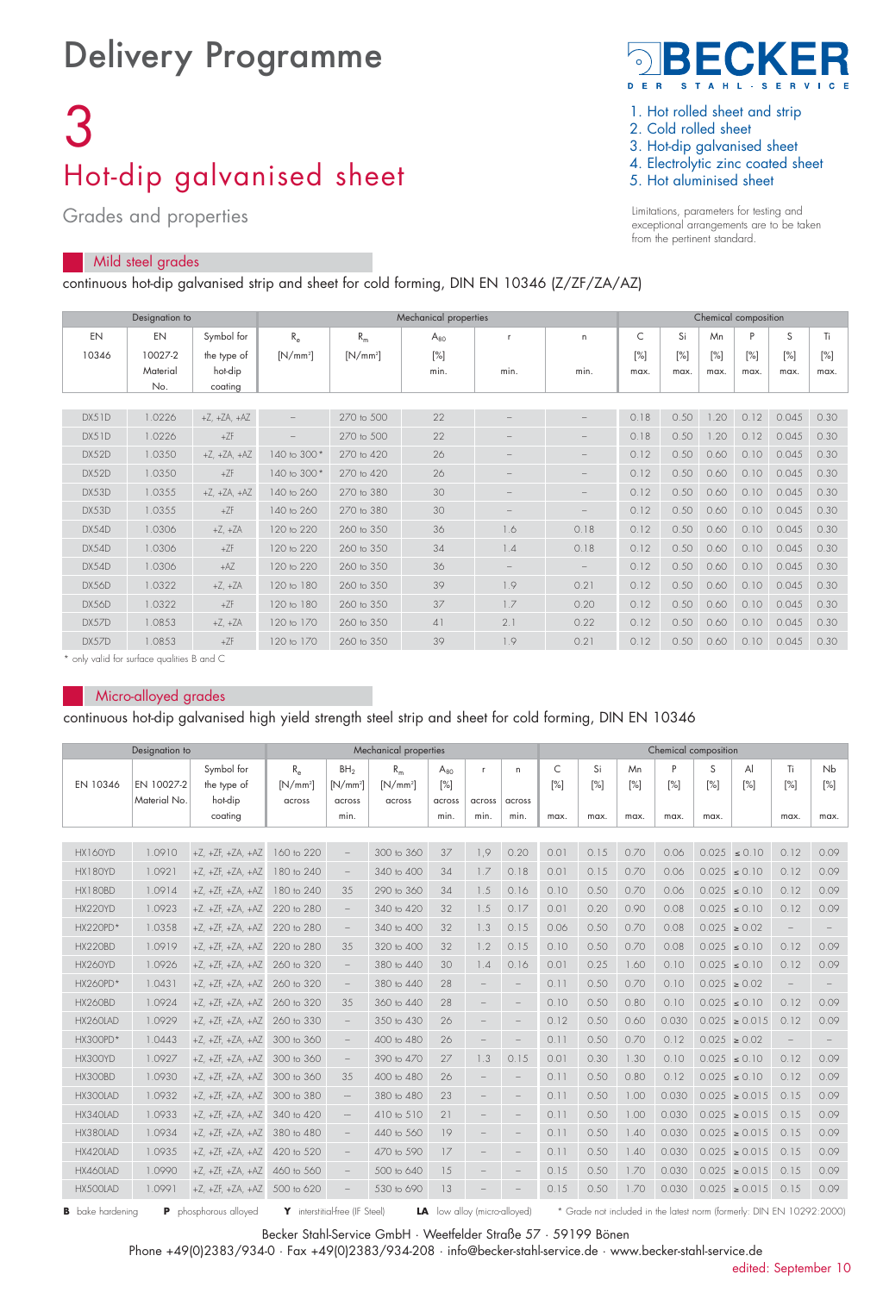## Delivery Programme

# 3 Hot-dip galvanised sheet

Grades and properties

## Mild steel grades

continuous hot-dip galvanised strip and sheet for cold forming, DIN EN 10346 (Z/ZF/ZA/AZ)



1. Hot rolled sheet and strip

- 2. Cold rolled sheet
- 3. Hot-dip galvanised sheet
- 4. Electrolytic zinc coated sheet
- 5. Hot aluminised sheet

Limitations, parameters for testing and exceptional arrangements are to be taken from the pertinent standard.

|       | Designation to |                      | Mechanical properties |            |          |                          |                          |      | Chemical composition |                   |      |       |        |  |  |  |
|-------|----------------|----------------------|-----------------------|------------|----------|--------------------------|--------------------------|------|----------------------|-------------------|------|-------|--------|--|--|--|
| EN    | EN             | Symbol for           | $R_{\alpha}$          | $R_m$      | $A_{80}$ | r.                       | $\mathsf{n}$             | C    | Si                   | Mn                | P    | S     | Ti     |  |  |  |
| 10346 | 10027-2        | the type of          | $[N/mm^2]$            | $[N/mm^2]$ | $[\%]$   |                          |                          | [%]  | [%]                  | $\lceil\% \rceil$ | [%]  | [%]   | $[\%]$ |  |  |  |
|       | Material       | hot-dip              |                       |            | min.     | min.                     | min.                     | max. | max.                 | max.              | max. | max.  | max.   |  |  |  |
|       | No.            | coating              |                       |            |          |                          |                          |      |                      |                   |      |       |        |  |  |  |
|       |                |                      |                       |            |          |                          |                          |      |                      |                   |      |       |        |  |  |  |
| DX51D | 1.0226         | $+Z$ , $+ZA$ , $+AZ$ |                       | 270 to 500 | 22       | $\overline{\phantom{0}}$ |                          | 0.18 | 0.50                 | .20               | 0.12 | 0.045 | 0.30   |  |  |  |
| DX51D | 1.0226         | $+ZF$                |                       | 270 to 500 | 22       | $\overline{\phantom{0}}$ | $\overline{\phantom{a}}$ | 0.18 | 0.50                 | .20               | 0.12 | 0.045 | 0.30   |  |  |  |
| DX52D | 1.0350         | $+Z$ , $+ZA$ , $+AZ$ | 140 to 300 *          | 270 to 420 | 26       | $\overline{\phantom{0}}$ | $\overline{\phantom{a}}$ | 0.12 | 0.50                 | 0.60              | 0.10 | 0.045 | 0.30   |  |  |  |
| DX52D | 1.0350         | $+ZF$                | 140 to 300 *          | 270 to 420 | 26       | $\overline{\phantom{0}}$ | $\overline{\phantom{a}}$ | 0.12 | 0.50                 | 0.60              | 0.10 | 0.045 | 0.30   |  |  |  |
| DX53D | 1.0355         | $+Z$ , $+ZA$ , $+AZ$ | 140 to 260            | 270 to 380 | 30       | $\overline{\phantom{0}}$ | $\overline{\phantom{a}}$ | 0.12 | 0.50                 | 0.60              | 0.10 | 0.045 | 0.30   |  |  |  |
| DX53D | 1.0355         | $+ZF$                | 140 to 260            | 270 to 380 | 30       | $\overline{\phantom{0}}$ | $\overline{\phantom{a}}$ | 0.12 | 0.50                 | 0.60              | 0.10 | 0.045 | 0.30   |  |  |  |
| DX54D | 1.0306         | $+Z. +ZA$            | 120 to 220            | 260 to 350 | 36       | 1.6                      | 0.18                     | 0.12 | 0.50                 | 0.60              | 0.10 | 0.045 | 0.30   |  |  |  |
| DX54D | 1.0306         | $+ZF$                | 120 to 220            | 260 to 350 | 34       | 1.4                      | 0.18                     | 0.12 | 0.50                 | 0.60              | 0.10 | 0.045 | 0.30   |  |  |  |
| DX54D | 1.0306         | $+AZ$                | 120 to 220            | 260 to 350 | 36       | $\overline{\phantom{0}}$ |                          | 0.12 | 0.50                 | 0.60              | 0.10 | 0.045 | 0.30   |  |  |  |
| DX56D | 1.0322         | $+Z. +ZA$            | 120 to 180            | 260 to 350 | 39       | 1.9                      | 0.21                     | 0.12 | 0.50                 | 0.60              | 0.10 | 0.045 | 0.30   |  |  |  |
| DX56D | 1.0322         | $+ZF$                | 120 to 180            | 260 to 350 | 37       | 1.7                      | 0.20                     | 0.12 | 0.50                 | 0.60              | 0.10 | 0.045 | 0.30   |  |  |  |
| DX57D | 1.0853         | $+Z$ , $+ZA$         | 120 to 170            | 260 to 350 | 41       | 2.1                      | 0.22                     | 0.12 | 0.50                 | 0.60              | 0.10 | 0.045 | 0.30   |  |  |  |
| DX57D | 1.0853         | $+ZF$                | 120 to 170            | 260 to 350 | 39       | 1.9                      | 0.21                     | 0.12 | 0.50                 | 0.60              | 0.10 | 0.045 | 0.30   |  |  |  |

\* only valid for surface qualities B and C

#### Micro-alloyed grades

continuous hot-dip galvanised high yield strength steel strip and sheet for cold forming, DIN EN 10346

|                                                                                                                                                                                                       | Mechanical properties      |                                      |                                      |                                         |                               | Chemical composition         |                          |                   |                        |           |           |          |          |                     |           |           |
|-------------------------------------------------------------------------------------------------------------------------------------------------------------------------------------------------------|----------------------------|--------------------------------------|--------------------------------------|-----------------------------------------|-------------------------------|------------------------------|--------------------------|-------------------|------------------------|-----------|-----------|----------|----------|---------------------|-----------|-----------|
| EN 10346                                                                                                                                                                                              | EN 10027-2<br>Material No. | Symbol for<br>the type of<br>hot-dip | $R_{\alpha}$<br>$[N/mm^2]$<br>across | BH <sub>2</sub><br>$[N/mm^2]$<br>across | $R_m$<br>$[N/mm^2]$<br>across | $A_{80}$<br>$[\%]$<br>across | $\mathsf{r}$<br>across   | n.<br>across      | C<br>$\lceil\% \rceil$ | Si<br>[%] | Mn<br>[%] | P<br>[%] | S<br>[%] | $\mathsf{A}$<br>[%] | Ti<br>[%] | Nb<br>[%] |
|                                                                                                                                                                                                       |                            | coating                              |                                      | min.                                    |                               | min.                         | min.                     | min.              | max.                   | max.      | max.      | max.     | max.     |                     | max.      | max.      |
|                                                                                                                                                                                                       |                            |                                      |                                      |                                         |                               |                              |                          |                   |                        |           |           |          |          |                     |           |           |
| HX160YD                                                                                                                                                                                               | 1.0910                     | $+Z$ , $+ZF$ , $+ZA$ , $+AZ$         | 160 to 220                           | $\overline{\phantom{m}}$                | 300 to 360                    | 37                           | 1,9                      | 0.20              | 0.01                   | 0.15      | 0.70      | 0.06     |          | $0.025 \le 0.10$    | 0.12      | 0.09      |
| HX180YD                                                                                                                                                                                               | 1.0921                     | $+Z$ , $+ZF$ , $+ZA$ , $+AZ$         | 180 to 240                           | $\overline{\phantom{a}}$                | 340 to 400                    | 34                           | 1.7                      | 0.18              | 0.01                   | 0.15      | 0.70      | 0.06     |          | $0.025 \le 0.10$    | 0.12      | 0.09      |
| HX180BD                                                                                                                                                                                               | 1.0914                     | $+Z$ , $+ZF$ , $+ZA$ , $+AZ$         | 180 to 240                           | 35                                      | 290 to 360                    | 34                           | 1.5                      | 0.16              | 0.10                   | 0.50      | 0.70      | 0.06     |          | $0.025 \le 0.10$    | 0.12      | 0.09      |
| HX220YD                                                                                                                                                                                               | 1.0923                     | $+Z. +ZF. +ZA. +AZ$                  | 220 to 280                           | $\overline{\phantom{a}}$                | 340 to 420                    | 32                           | 1.5                      | 0.17              | 0.01                   | 0.20      | 0.90      | 0.08     |          | $0.025 \le 0.10$    | 0.12      | 0.09      |
| <b>HX220PD*</b>                                                                                                                                                                                       | 1.0358                     | $+Z$ , $+ZF$ , $+ZA$ , $+AZ$         | 220 to 280                           | $\overline{\phantom{a}}$                | 340 to 400                    | 32                           | 1.3                      | 0.15              | 0.06                   | 0.50      | 0.70      | 0.08     |          | $0.025 \ge 0.02$    |           |           |
| <b>HX220BD</b>                                                                                                                                                                                        | 1.0919                     | $+Z$ , $+ZF$ , $+ZA$ , $+AZ$         | 220 to 280                           | 35                                      | 320 to 400                    | 32                           | 1.2                      | 0.15              | 0.10                   | 0.50      | 0.70      | 0.08     |          | $0.025 \le 0.10$    | 0.12      | 0.09      |
| HX260YD                                                                                                                                                                                               | 1.0926                     | $+Z$ , $+ZF$ , $+ZA$ , $+AZ$         | 260 to 320                           | $\overline{\phantom{a}}$                | 380 to 440                    | 30                           | 1.4                      | 0.16              | 0.01                   | 0.25      | 1.60      | 0.10     |          | $0.025 \le 0.10$    | 0.12      | 0.09      |
| HX260PD*                                                                                                                                                                                              | 1.0431                     | $+Z$ , $+ZF$ , $+ZA$ , $+AZ$         | 260 to 320                           | $\overline{\phantom{a}}$                | 380 to 440                    | 28                           | $\overline{\phantom{a}}$ | $\qquad \qquad -$ | 0.11                   | 0.50      | 0.70      | 0.10     |          | $0.025 \ge 0.02$    |           |           |
| <b>HX260BD</b>                                                                                                                                                                                        | 1.0924                     | $+Z$ , $+ZF$ , $+ZA$ , $+AZ$         | 260 to 320                           | 3.5                                     | 360 to 440                    | 28                           |                          |                   | 0.10                   | 0.50      | 0.80      | 0.10     |          | $0.025 \le 0.10$    | 0.12      | 0.09      |
| HX260LAD                                                                                                                                                                                              | 1.0929                     | $+Z$ , $+ZF$ , $+ZA$ , $+AZ$         | 260 to 330                           | $\overline{\phantom{m}}$                | 350 to 430                    | 26                           |                          |                   | 0.12                   | 0.50      | 0.60      | 0.030    |          | $0.025 \ge 0.015$   | 0.12      | 0.09      |
| HX300PD*                                                                                                                                                                                              | 1.0443                     | $+Z$ , $+ZF$ , $+ZA$ , $+AZ$         | 300 to 360                           |                                         | 400 to 480                    | 26                           |                          |                   | 0.11                   | 0.50      | 0.70      | 0.12     |          | $0.025 \ge 0.02$    |           |           |
| HX300YD                                                                                                                                                                                               | 1.0927                     | $+Z$ , $+ZF$ , $+ZA$ , $+AZ$         | 300 to 360                           |                                         | 390 to 470                    | 27                           | 1.3                      | 0.15              | 0.01                   | 0.30      | 1.30      | 0.10     |          | $0.025 \le 0.10$    | 0.12      | 0.09      |
| HX300BD                                                                                                                                                                                               | 1.0930                     | $+Z$ , $+ZF$ , $+ZA$ , $+AZ$         | 300 to 360                           | 35                                      | 400 to 480                    | 26                           |                          |                   | 0.11                   | 0.50      | 0.80      | 0.12     |          | $0.025 \le 0.10$    | 0.12      | 0.09      |
| HX300LAD                                                                                                                                                                                              | 1.0932                     | $+Z$ , $+ZF$ , $+ZA$ , $+AZ$         | 300 to 380                           | $\qquad \qquad -$                       | 380 to 480                    | 23                           |                          |                   | 0.11                   | 0.50      | 1.00      | 0.030    |          | $0.025 \ge 0.015$   | 0.15      | 0.09      |
| HX340LAD                                                                                                                                                                                              | 1.0933                     | $+Z$ , $+ZF$ , $+ZA$ , $+AZ$         | 340 to 420                           | $\qquad \qquad -$                       | 410 to 510                    | 21                           |                          |                   | 0.11                   | 0.50      | 1.00      | 0.030    |          | $0.025 \ge 0.015$   | 0.15      | 0.09      |
| HX380LAD                                                                                                                                                                                              | 1.0934                     | $+Z$ , $+ZF$ , $+ZA$ , $+AZ$         | 380 to 480                           | $\overline{\phantom{a}}$                | 440 to 560                    | 19                           |                          |                   | 0.11                   | 0.50      | 1.40      | 0.030    |          | $0.025 \ge 0.015$   | 0.15      | 0.09      |
| HX420LAD                                                                                                                                                                                              | 1.0935                     | $+Z$ , $+ZF$ , $+ZA$ , $+AZ$         | 420 to 520                           | $\overline{\phantom{a}}$                | 470 to 590                    | 17                           |                          |                   | 0.11                   | 0.50      | 1.40      | 0.030    |          | $0.025 \ge 0.015$   | 0.15      | 0.09      |
| HX460LAD                                                                                                                                                                                              | 1.0990                     | $+Z$ , $+ZF$ , $+ZA$ , $+AZ$         | 460 to 560                           |                                         | 500 to 640                    | 15                           |                          |                   | 0.15                   | 0.50      | 1.70      | 0.030    |          | $0.025 \ge 0.015$   | 0.15      | 0.09      |
| HX500LAD                                                                                                                                                                                              | 1.0991                     | $+Z$ , $+ZF$ , $+ZA$ , $+AZ$         | 500 to 620                           | $\overline{\phantom{0}}$                | 530 to 690                    | 13                           |                          |                   | 0.15                   | 0.50      | 1.70      | 0.030    |          | $0.025 \ge 0.015$   | 0.15      | 0.09      |
| Y interstitial-free (IF Steel)<br>* Grade not included in the latest norm (formerly: DIN EN 10292:2000)<br><b>B</b> bake hardening<br>phosphorous alloved<br><b>LA</b> low allov (micro-alloved)<br>P |                            |                                      |                                      |                                         |                               |                              |                          |                   |                        |           |           |          |          |                     |           |           |

Becker Stahl-Service GmbH · Weetfelder Straße 57 · 59199 Bönen

Phone +49(0)2383/934-0 · Fax +49(0)2383/934-208 · info@becker-stahl-service.de · www.becker-stahl-service.de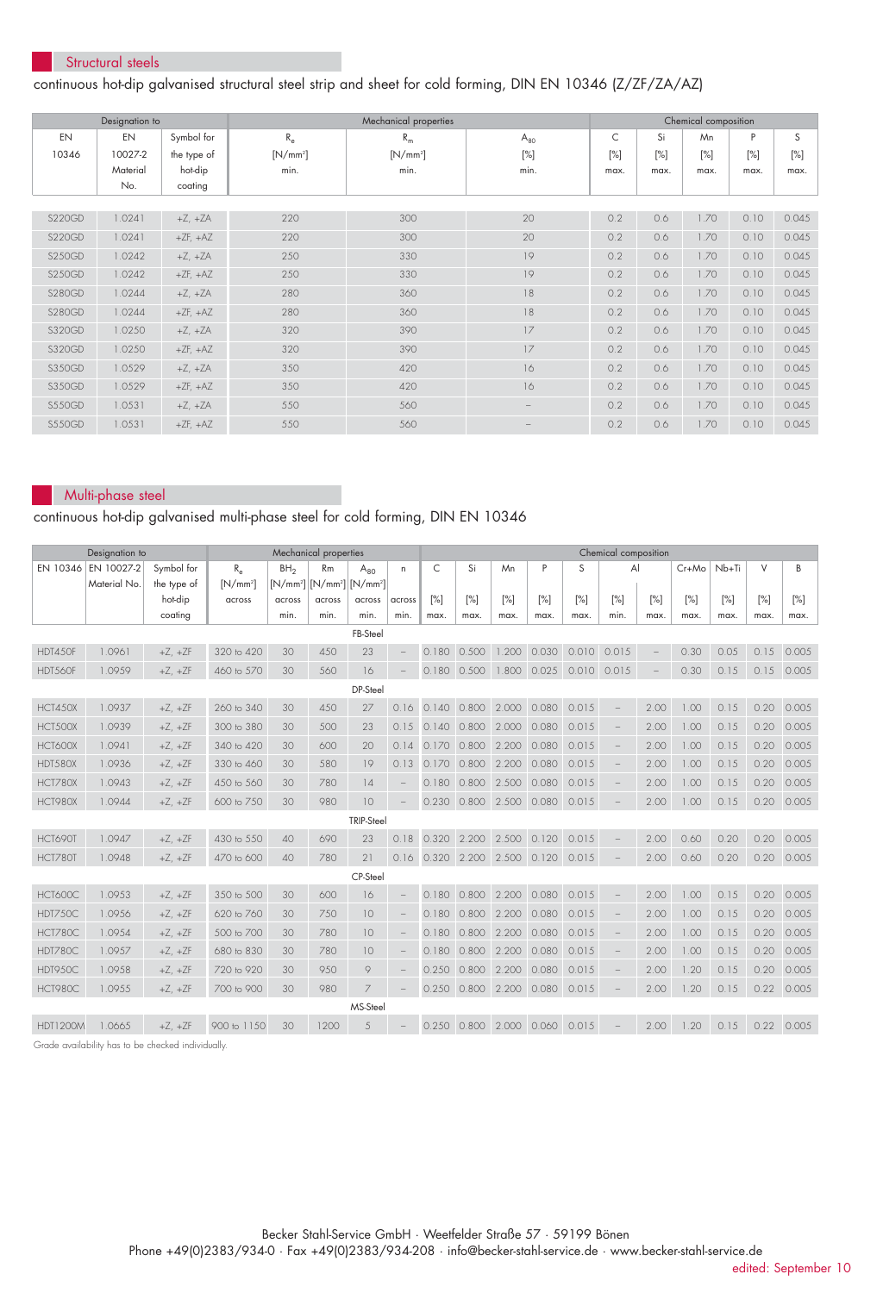#### Structural steels

### continuous hot-dip galvanised structural steel strip and sheet for cold forming, DIN EN 10346 (Z/ZF/ZA/AZ)

| Designation to |          |              |             | Mechanical properties | Chemical composition |      |        |        |        |        |
|----------------|----------|--------------|-------------|-----------------------|----------------------|------|--------|--------|--------|--------|
| EN             | EN       | Symbol for   | $R_{\rm e}$ | $R_m$                 | $A_{80}$             | C    | Si     | Mn     | P      | S      |
| 10346          | 10027-2  | the type of  | $[N/mm^2]$  | $[N/mm^2]$            | $[\%]$               | [%]  | $[\%]$ | $[\%]$ | $[\%]$ | $[\%]$ |
|                | Material | hot-dip      | min.        | min.                  | min.                 | max. | max.   | max.   | max.   | max.   |
|                | No.      | coating      |             |                       |                      |      |        |        |        |        |
|                |          |              |             |                       |                      |      |        |        |        |        |
| <b>S220GD</b>  | 1.0241   | $+Z$ , $+ZA$ | 220         | 300                   | 20                   | 0.2  | 0.6    | 1.70   | 0.10   | 0.045  |
| <b>S220GD</b>  | 1.0241   | $+ZF, +AZ$   | 220         | 300                   | 20                   | 0.2  | 0.6    | 1.70   | 0.10   | 0.045  |
| <b>S250GD</b>  | 1.0242   | $+Z$ , $+ZA$ | 250         | 330                   | 19                   | 0.2  | 0.6    | 1.70   | 0.10   | 0.045  |
| <b>S250GD</b>  | 1.0242   | $+ZF, +AZ$   | 250         | 330                   | 19                   | 0.2  | 0.6    | 1.70   | 0.10   | 0.045  |
| <b>S280GD</b>  | 1.0244   | $+Z$ , $+ZA$ | 280         | 360                   | 18                   | 0.2  | 0.6    | 1.70   | 0.10   | 0.045  |
| <b>S280GD</b>  | 1.0244   | $+ZF, +AZ$   | 280         | 360                   | 18                   | 0.2  | 0.6    | 1.70   | 0.10   | 0.045  |
| S320GD         | 1.0250   | $+Z$ , $+ZA$ | 320         | 390                   | 17                   | 0.2  | 0.6    | 1.70   | 0.10   | 0.045  |
| S320GD         | 1.0250   | $+ZF, +AZ$   | 320         | 390                   | 17                   | 0.2  | 0.6    | 1.70   | 0.10   | 0.045  |
| S350GD         | 1.0529   | $+Z$ , $+ZA$ | 350         | 420                   | 16                   | 0.2  | 0.6    | 1.70   | 0.10   | 0.045  |
| S350GD         | 1.0529   | $+ZF, +AZ$   | 350         | 420                   | 16                   | 0.2  | 0.6    | 1.70   | 0.10   | 0.045  |
| <b>S550GD</b>  | 1.0531   | $+Z$ , $+ZA$ | 550         | 560                   | $\qquad \qquad -$    | 0.2  | 0.6    | 1.70   | 0.10   | 0.045  |
| <b>S550GD</b>  | 1.0531   | $+ZF, +AZ$   | 550         | 560                   | $\qquad \qquad$      | 0.2  | 0.6    | 1.70   | 0.10   | 0.045  |

#### Multi-phase steel

## continuous hot-dip galvanised multi-phase steel for cold forming, DIN EN 10346

| Designation to<br>Mechanical properties |              |              |              |                 |                                  | Chemical composition |                          |             |                   |       |                               |             |                                 |                   |         |       |        |                    |
|-----------------------------------------|--------------|--------------|--------------|-----------------|----------------------------------|----------------------|--------------------------|-------------|-------------------|-------|-------------------------------|-------------|---------------------------------|-------------------|---------|-------|--------|--------------------|
| EN 10346                                | EN 10027-2   | Symbol for   | $R_{\alpha}$ | BH <sub>2</sub> | <b>Rm</b>                        | $A_{80}$             | n.                       | C           | Si                | Mn    | P                             | S           | $\overline{A}$                  |                   | $Cr+Mo$ | Nb+Ti | $\vee$ | B                  |
|                                         | Material No. | the type of  | $[N/mm^2]$   |                 | $[N/mm^2]$ $[N/mm^2]$ $[N/mm^2]$ |                      |                          |             |                   |       |                               |             |                                 |                   |         |       |        |                    |
|                                         |              | hot-dip      | across       | across<br>min.  | across<br>min.                   | across<br>min.       | across                   | [%]         | [%]               | [%]   | [%]                           | [%]         | [%]                             | [%]               | [%]     | [%]   | [%]    | [%]                |
|                                         |              | coating      |              |                 |                                  | FB-Steel             | min.                     | max.        | max.              | max.  | max.                          | max.        | min.                            | max.              | max.    | max.  | max.   | max.               |
| HDT450F                                 | 1.0961       |              | 320 to 420   | 30              | 450                              | 23                   |                          | 0.180 0.500 |                   | 1.200 | 0.030                         | 0.010 0.015 |                                 | $\qquad \qquad -$ | 0.30    | 0.05  |        | $0.15$ 0.005       |
|                                         |              | $+Z$ , $+ZF$ |              |                 |                                  |                      | $\qquad \qquad -$        |             |                   |       |                               |             |                                 |                   |         |       |        |                    |
| HDT560F                                 | 1.0959       | $+Z$ , $+ZF$ | 460 to 570   | 30              | 560                              | 16                   |                          |             | 0.180 0.500       | 1.800 | 0.025                         | 0.010 0.015 |                                 |                   | 0.30    | 0.15  |        | $0.15$ 0.005       |
|                                         |              |              |              |                 |                                  | DP-Steel             |                          |             |                   |       |                               |             |                                 |                   |         |       |        |                    |
| HCT450X                                 | 1.0937       | $+Z$ , $+ZF$ | 260 to 340   | 30              | 450                              | 27                   | 0.16                     | 0.140       | 0.800             | 2.000 | 0.080                         | 0.015       | $\overline{\phantom{a}}$        | 2.00              | 1.00    | 0.15  | 0.20   | 0.005              |
| HCT500X                                 | 1.0939       | $+Z$ , $+ZF$ | 300 to 380   | 30              | 500                              | 23                   | 0.15                     | 0.140       | 0.800             | 2.000 | 0.080                         | 0.015       | $\overline{\phantom{a}}$        | 2.00              | 1.00    | 0.15  | 0.20   | 0.005              |
| HCT600X                                 | 1.0941       | $+Z$ , $+ZF$ | 340 to 420   | 30              | 600                              | 20                   | 0.14                     | 0.170       | 0.800             | 2.200 | 0.080                         | 0.015       | $\overline{\phantom{0}}$        | 2.00              | 1.00    | 0.15  | 0.20   | 0.005              |
| HDT580X                                 | 1.0936       | $+Z$ , $+ZF$ | 330 to 460   | 30              | 580                              | 19                   | 0.13                     | 0.170       | 0.800             | 2.200 | 0.080                         | 0.015       | $\overline{\phantom{a}}$        | 2.00              | 1.00    | 0.15  | 0.20   | 0.005              |
| <b>HCT780X</b>                          | 1.0943       | $+Z$ , $+ZF$ | 450 to 560   | 30              | 780                              | 14                   |                          | 0.180       | 0.800             | 2.500 | 0.080                         | 0.015       | $\qquad \qquad -$               | 2.00              | 1.00    | 0.15  | 0.20   | 0.005              |
| HCT980X                                 | 1.0944       | $+Z$ , $+ZF$ | 600 to 750   | 30              | 980                              | 10                   | $\overline{\phantom{a}}$ | 0.230       | 0.800 2.500 0.080 |       |                               | 0.015       |                                 | 2.00              | 1.00    | 0.15  | 0.20   | 0.005              |
|                                         |              |              |              |                 |                                  | <b>TRIP-Steel</b>    |                          |             |                   |       |                               |             |                                 |                   |         |       |        |                    |
| HCT690T                                 | 1.0947       | $+Z$ , $+ZF$ | 430 to 550   | 40              | 690                              | 23                   | 0.18                     | 0.320       | 2.200             | 2.500 | 0.120                         | 0.015       | $\overline{\phantom{0}}$        | 2.00              | 0.60    | 0.20  | 0.20   | 0.005              |
| HCT780T                                 | 1.0948       | $+Z$ , $+ZF$ | 470 to 600   | 40              | 780                              | 21                   | 0.16                     |             |                   |       | 0.320 2.200 2.500 0.120 0.015 |             |                                 | 2.00              | 0.60    | 0.20  | 0.20   | 0.005              |
|                                         |              |              |              |                 |                                  | CP-Steel             |                          |             |                   |       |                               |             |                                 |                   |         |       |        |                    |
| HCT600C                                 | 1.0953       | $+Z$ , $+ZF$ | 350 to 500   | 30              | 600                              | 16                   |                          | 0.180       | 0.800             | 2.200 | 0.080                         | 0.015       |                                 | 2.00              | 1.00    | 0.15  | 0.20   | 0.005              |
| <b>HDT750C</b>                          | 1.0956       | $+Z$ , $+ZF$ | 620 to 760   | 30              | 750                              | 10                   | $\overline{\phantom{a}}$ | 0.180       | 0.800             | 2.200 | 0.080                         | 0.015       | $\overline{\phantom{a}}$        | 2.00              | 1.00    | 0.15  | 0.20   | 0.005              |
| <b>HCT780C</b>                          | 1.0954       | $+Z$ , $+ZF$ | 500 to 700   | 30              | 780                              | 10                   | $\overline{\phantom{a}}$ | 0.180       | 0.800             | 2.200 | 0.080                         | 0.015       | $\hspace{0.1mm}-\hspace{0.1mm}$ | 2.00              | 1.00    | 0.15  | 0.20   | 0.005              |
| HDT780C                                 | 1.0957       | $+Z$ , $+ZF$ | 680 to 830   | 30              | 780                              | 10                   | $\overline{\phantom{a}}$ | 0.180       | 0.800             | 2.200 | 0.080                         | 0.015       | $\overline{\phantom{a}}$        | 2.00              | 1.00    | 0.15  | 0.20   | 0.005              |
| HDT950C                                 | 1.0958       | $+Z$ , $+ZF$ | 720 to 920   | 30              | 950                              | $\hbox{ }^{\circ}$   | $\overline{\phantom{a}}$ | 0.250       | 0.800             | 2.200 | 0.080                         | 0.015       | $\overline{\phantom{a}}$        | 2.00              | 1.20    | 0.15  | 0.20   | 0.005              |
| HCT980C                                 | 1.0955       | $+Z$ , $+ZF$ | 700 to 900   | 30              | 980                              | $\overline{7}$       |                          | 0.250       | 0.800 2.200       |       | 0.080                         | 0.015       |                                 | 2.00              | 1.20    | 0.15  |        | 0.22 0.005         |
|                                         |              |              |              |                 |                                  | MS-Steel             |                          |             |                   |       |                               |             |                                 |                   |         |       |        |                    |
| <b>HDT1200M</b>                         | 1.0665       | $+Z$ , $+ZF$ | 900 to 1150  | 30              | 1200                             | $\overline{5}$       |                          |             |                   |       | 0.250 0.800 2.000 0.060 0.015 |             |                                 | 2.00              | 1.20    | 0.15  |        | $0.22 \quad 0.005$ |

Grade availability has to be checked individually.